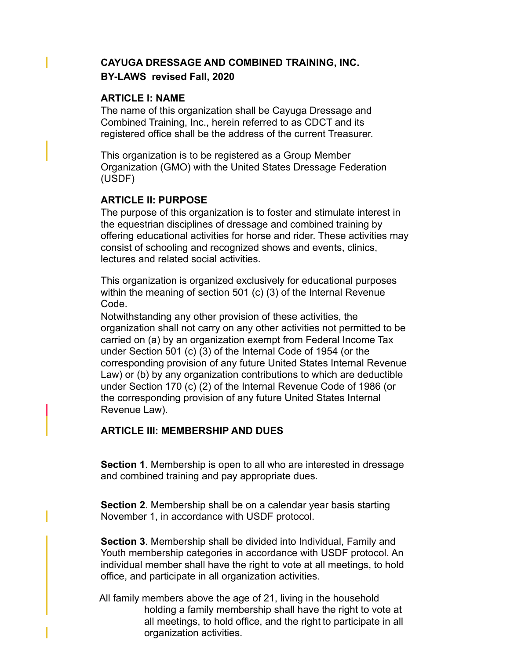# **CAYUGA DRESSAGE AND COMBINED TRAINING, INC. BY-LAWS revised Fall, 2020**

### **ARTICLE I: NAME**

The name of this organization shall be Cayuga Dressage and Combined Training, Inc., herein referred to as CDCT and its registered office shall be the address of the current Treasurer.

This organization is to be registered as a Group Member Organization (GMO) with the United States Dressage Federation (USDF)

# **ARTICLE II: PURPOSE**

The purpose of this organization is to foster and stimulate interest in the equestrian disciplines of dressage and combined training by offering educational activities for horse and rider. These activities may consist of schooling and recognized shows and events, clinics, lectures and related social activities.

This organization is organized exclusively for educational purposes within the meaning of section 501 (c) (3) of the Internal Revenue Code.

Notwithstanding any other provision of these activities, the organization shall not carry on any other activities not permitted to be carried on (a) by an organization exempt from Federal Income Tax under Section 501 (c) (3) of the Internal Code of 1954 (or the corresponding provision of any future United States Internal Revenue Law) or (b) by any organization contributions to which are deductible under Section 170 (c) (2) of the Internal Revenue Code of 1986 (or the corresponding provision of any future United States Internal Revenue Law).

# **ARTICLE III: MEMBERSHIP AND DUES**

**Section 1**. Membership is open to all who are interested in dressage and combined training and pay appropriate dues.

**Section 2**. Membership shall be on a calendar year basis starting November 1, in accordance with USDF protocol.

**Section 3**. Membership shall be divided into Individual, Family and Youth membership categories in accordance with USDF protocol. An individual member shall have the right to vote at all meetings, to hold office, and participate in all organization activities.

All family members above the age of 21, living in the household holding a family membership shall have the right to vote at all meetings, to hold office, and the right to participate in all organization activities.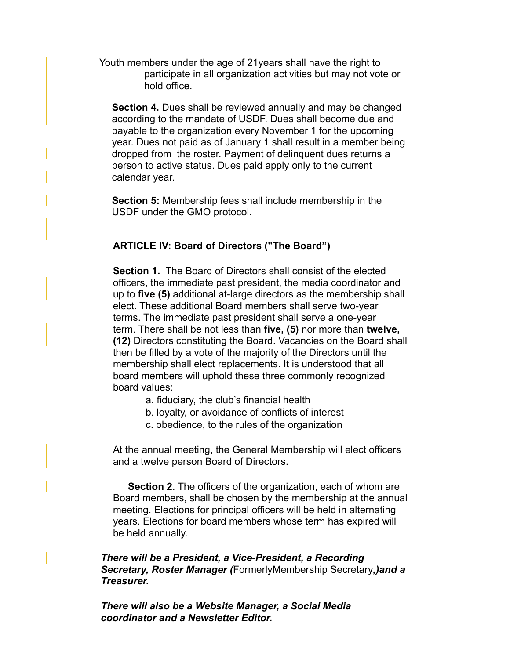Youth members under the age of 21years shall have the right to participate in all organization activities but may not vote or hold office.

**Section 4.** Dues shall be reviewed annually and may be changed according to the mandate of USDF. Dues shall become due and payable to the organization every November 1 for the upcoming year. Dues not paid as of January 1 shall result in a member being dropped from the roster. Payment of delinquent dues returns a person to active status. Dues paid apply only to the current calendar year.

**Section 5:** Membership fees shall include membership in the USDF under the GMO protocol.

### **ARTICLE IV: Board of Directors ("The Board")**

**Section 1.** The Board of Directors shall consist of the elected officers, the immediate past president, the media coordinator and up to **five (5)** additional at-large directors as the membership shall elect. These additional Board members shall serve two-year terms. The immediate past president shall serve a one-year term. There shall be not less than **five, (5)** nor more than **twelve, (12)** Directors constituting the Board. Vacancies on the Board shall then be filled by a vote of the majority of the Directors until the membership shall elect replacements. It is understood that all board members will uphold these three commonly recognized board values:

- a. fiduciary, the club's financial health
- b. loyalty, or avoidance of conflicts of interest
- c. obedience, to the rules of the organization

At the annual meeting, the General Membership will elect officers and a twelve person Board of Directors.

**Section 2**. The officers of the organization, each of whom are Board members, shall be chosen by the membership at the annual meeting. Elections for principal officers will be held in alternating years. Elections for board members whose term has expired will be held annually.

*There will be a President, a Vice-President, a Recording Secretary, Roster Manager (*FormerlyMembership Secretary*,)and a Treasurer.* 

*There will also be a Website Manager, a Social Media coordinator and a Newsletter Editor.*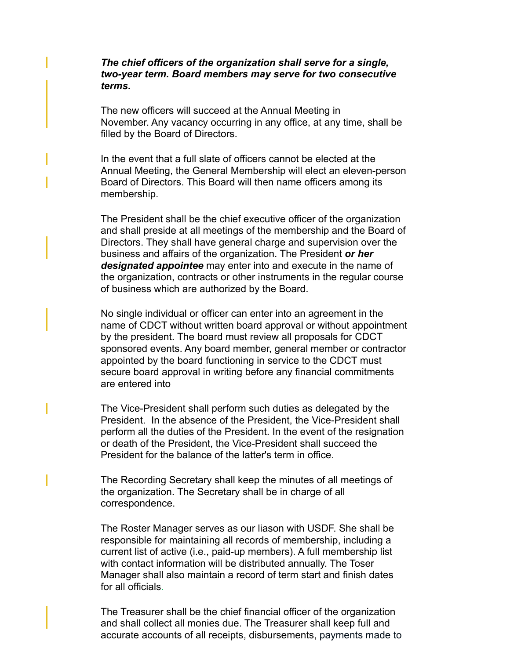### *The chief officers of the organization shall serve for a single, two-year term. Board members may serve for two consecutive terms.*

The new officers will succeed at the Annual Meeting in November. Any vacancy occurring in any office, at any time, shall be filled by the Board of Directors.

In the event that a full slate of officers cannot be elected at the Annual Meeting, the General Membership will elect an eleven-person Board of Directors. This Board will then name officers among its membership.

The President shall be the chief executive officer of the organization and shall preside at all meetings of the membership and the Board of Directors. They shall have general charge and supervision over the business and affairs of the organization. The President *or her designated appointee* may enter into and execute in the name of the organization, contracts or other instruments in the regular course of business which are authorized by the Board.

No single individual or officer can enter into an agreement in the name of CDCT without written board approval or without appointment by the president. The board must review all proposals for CDCT sponsored events. Any board member, general member or contractor appointed by the board functioning in service to the CDCT must secure board approval in writing before any financial commitments are entered into

The Vice-President shall perform such duties as delegated by the President. In the absence of the President, the Vice-President shall perform all the duties of the President. In the event of the resignation or death of the President, the Vice-President shall succeed the President for the balance of the latter's term in office.

The Recording Secretary shall keep the minutes of all meetings of the organization. The Secretary shall be in charge of all correspondence.

The Roster Manager serves as our liason with USDF. She shall be responsible for maintaining all records of membership, including a current list of active (i.e., paid-up members). A full membership list with contact information will be distributed annually. The Toser Manager shall also maintain a record of term start and finish dates for all officials.

The Treasurer shall be the chief financial officer of the organization and shall collect all monies due. The Treasurer shall keep full and accurate accounts of all receipts, disbursements, payments made to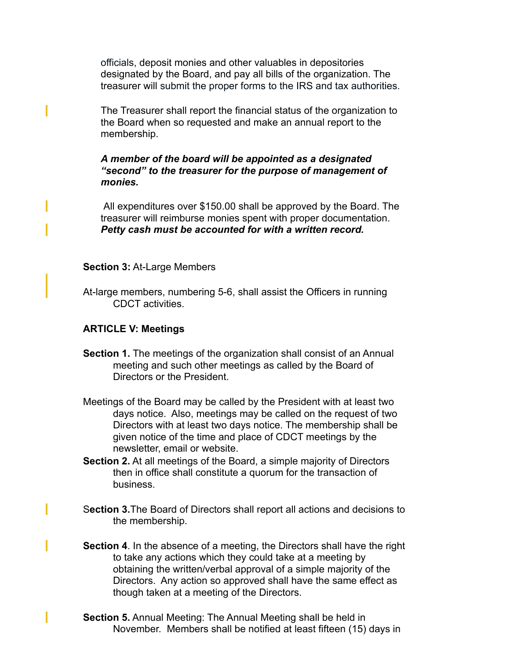officials, deposit monies and other valuables in depositories designated by the Board, and pay all bills of the organization. The treasurer will submit the proper forms to the IRS and tax authorities.

The Treasurer shall report the financial status of the organization to the Board when so requested and make an annual report to the membership.

*A member of the board will be appointed as a designated "second" to the treasurer for the purpose of management of monies.* 

All expenditures over \$150.00 shall be approved by the Board. The treasurer will reimburse monies spent with proper documentation. *Petty cash must be accounted for with a written record.*

#### **Section 3:** At-Large Members

At-large members, numbering 5-6, shall assist the Officers in running CDCT activities.

#### **ARTICLE V: Meetings**

- **Section 1.** The meetings of the organization shall consist of an Annual meeting and such other meetings as called by the Board of Directors or the President.
- Meetings of the Board may be called by the President with at least two days notice. Also, meetings may be called on the request of two Directors with at least two days notice. The membership shall be given notice of the time and place of CDCT meetings by the newsletter, email or website.
- **Section 2.** At all meetings of the Board, a simple majority of Directors then in office shall constitute a quorum for the transaction of business.
- S**ection 3.**The Board of Directors shall report all actions and decisions to the membership.
- **Section 4**. In the absence of a meeting, the Directors shall have the right to take any actions which they could take at a meeting by obtaining the written/verbal approval of a simple majority of the Directors. Any action so approved shall have the same effect as though taken at a meeting of the Directors.
- **Section 5.** Annual Meeting: The Annual Meeting shall be held in November. Members shall be notified at least fifteen (15) days in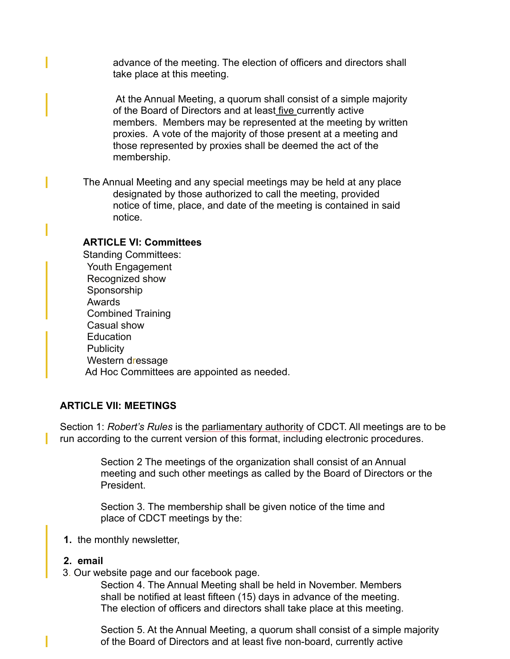advance of the meeting. The election of officers and directors shall take place at this meeting.

 At the Annual Meeting, a quorum shall consist of a simple majority of the Board of Directors and at least five currently active members. Members may be represented at the meeting by written proxies. A vote of the majority of those present at a meeting and those represented by proxies shall be deemed the act of the membership.

The Annual Meeting and any special meetings may be held at any place designated by those authorized to call the meeting, provided notice of time, place, and date of the meeting is contained in said notice.

### **ARTICLE VI: Committees**

Standing Committees: Youth Engagement Recognized show Sponsorship Awards Combined Training Casual show **Education Publicity** Western dressage Ad Hoc Committees are appointed as needed.

#### **ARTICLE VII: MEETINGS**

Section 1: *Robert's Rules* is the parliamentary authority of CDCT. All meetings are to be run according to the current version of this format, including electronic procedures.

> Section 2 The meetings of the organization shall consist of an Annual meeting and such other meetings as called by the Board of Directors or the President.

Section 3. The membership shall be given notice of the time and place of CDCT meetings by the:

**1.** the monthly newsletter,

#### **2. email**

3. Our website page and our facebook page.

Section 4. The Annual Meeting shall be held in November. Members shall be notified at least fifteen (15) days in advance of the meeting. The election of officers and directors shall take place at this meeting.

Section 5. At the Annual Meeting, a quorum shall consist of a simple majority of the Board of Directors and at least five non-board, currently active